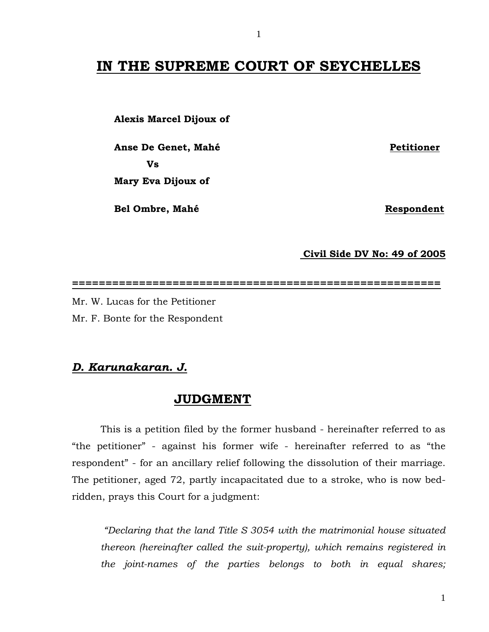## **IN THE SUPREME COURT OF SEYCHELLES**

 **Alexis Marcel Dijoux of**

Anse De Genet, Mahé **Petitioner Vs** 

 **Mary Eva Dijoux of**

**Bel Ombre, Mahé** Respondent

**Civil Side DV No: 49 of 2005**

**=======================================================**

Mr. W. Lucas for the Petitioner Mr. F. Bonte for the Respondent

## *D. Karunakaran. J.*

## **JUDGMENT**

 This is a petition filed by the former husband - hereinafter referred to as "the petitioner" - against his former wife - hereinafter referred to as "the respondent" - for an ancillary relief following the dissolution of their marriage. The petitioner, aged 72, partly incapacitated due to a stroke, who is now bedridden, prays this Court for a judgment:

*"Declaring that the land Title S 3054 with the matrimonial house situated thereon (hereinafter called the suit-property), which remains registered in the joint-names of the parties belongs to both in equal shares;*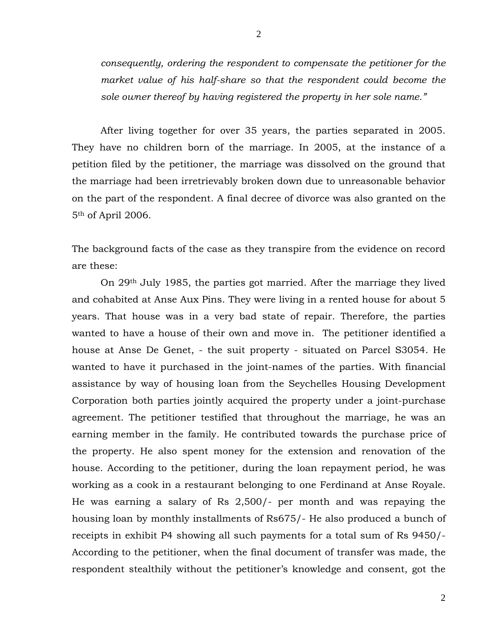*consequently, ordering the respondent to compensate the petitioner for the market value of his half-share so that the respondent could become the sole owner thereof by having registered the property in her sole name."*

After living together for over 35 years, the parties separated in 2005. They have no children born of the marriage. In 2005, at the instance of a petition filed by the petitioner, the marriage was dissolved on the ground that the marriage had been irretrievably broken down due to unreasonable behavior on the part of the respondent. A final decree of divorce was also granted on the 5th of April 2006.

The background facts of the case as they transpire from the evidence on record are these:

On 29th July 1985, the parties got married. After the marriage they lived and cohabited at Anse Aux Pins. They were living in a rented house for about 5 years. That house was in a very bad state of repair. Therefore, the parties wanted to have a house of their own and move in. The petitioner identified a house at Anse De Genet, - the suit property - situated on Parcel S3054. He wanted to have it purchased in the joint-names of the parties. With financial assistance by way of housing loan from the Seychelles Housing Development Corporation both parties jointly acquired the property under a joint-purchase agreement. The petitioner testified that throughout the marriage, he was an earning member in the family. He contributed towards the purchase price of the property. He also spent money for the extension and renovation of the house. According to the petitioner, during the loan repayment period, he was working as a cook in a restaurant belonging to one Ferdinand at Anse Royale. He was earning a salary of Rs 2,500/- per month and was repaying the housing loan by monthly installments of Rs675/- He also produced a bunch of receipts in exhibit P4 showing all such payments for a total sum of Rs 9450/- According to the petitioner, when the final document of transfer was made, the respondent stealthily without the petitioner's knowledge and consent, got the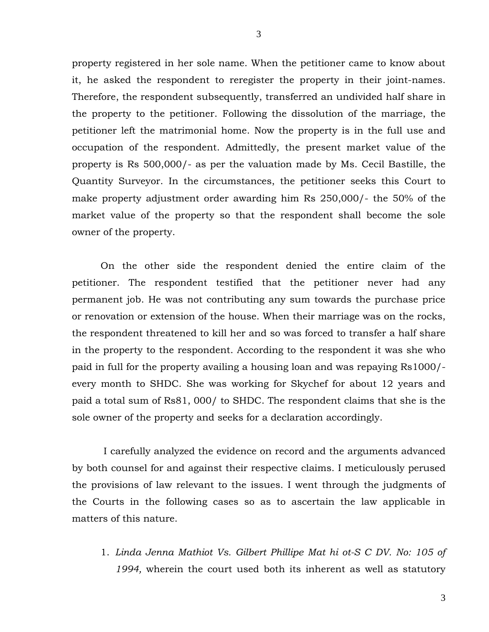property registered in her sole name. When the petitioner came to know about it, he asked the respondent to reregister the property in their joint-names. Therefore, the respondent subsequently, transferred an undivided half share in the property to the petitioner. Following the dissolution of the marriage, the petitioner left the matrimonial home. Now the property is in the full use and occupation of the respondent. Admittedly, the present market value of the property is Rs 500,000/- as per the valuation made by Ms. Cecil Bastille, the Quantity Surveyor. In the circumstances, the petitioner seeks this Court to make property adjustment order awarding him Rs 250,000/- the 50% of the market value of the property so that the respondent shall become the sole owner of the property.

On the other side the respondent denied the entire claim of the petitioner. The respondent testified that the petitioner never had any permanent job. He was not contributing any sum towards the purchase price or renovation or extension of the house. When their marriage was on the rocks, the respondent threatened to kill her and so was forced to transfer a half share in the property to the respondent. According to the respondent it was she who paid in full for the property availing a housing loan and was repaying Rs1000/ every month to SHDC. She was working for Skychef for about 12 years and paid a total sum of Rs81, 000/ to SHDC. The respondent claims that she is the sole owner of the property and seeks for a declaration accordingly.

I carefully analyzed the evidence on record and the arguments advanced by both counsel for and against their respective claims. I meticulously perused the provisions of law relevant to the issues. I went through the judgments of the Courts in the following cases so as to ascertain the law applicable in matters of this nature.

1. *Linda Jenna Mathiot Vs. Gilbert Phillipe Mat hi ot-S C DV. No: 105 of 1994,* wherein the court used both its inherent as well as statutory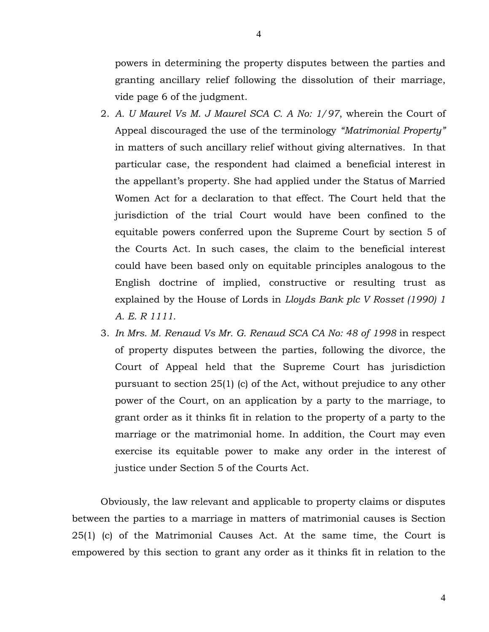powers in determining the property disputes between the parties and granting ancillary relief following the dissolution of their marriage, vide page 6 of the judgment.

- 2. *A. U Maurel Vs M. J Maurel SCA C. A No: 1/97*, wherein the Court of Appeal discouraged the use of the terminology *"Matrimonial Property"* in matters of such ancillary relief without giving alternatives. In that particular case, the respondent had claimed a beneficial interest in the appellant's property. She had applied under the Status of Married Women Act for a declaration to that effect. The Court held that the jurisdiction of the trial Court would have been confined to the equitable powers conferred upon the Supreme Court by section 5 of the Courts Act. In such cases, the claim to the beneficial interest could have been based only on equitable principles analogous to the English doctrine of implied, constructive or resulting trust as explained by the House of Lords in *Lloyds Bank plc V Rosset (1990) 1 A. E. R 1111.*
- 3. *In Mrs. M. Renaud Vs Mr. G. Renaud SCA CA No: 48 of 1998* in respect of property disputes between the parties, following the divorce, the Court of Appeal held that the Supreme Court has jurisdiction pursuant to section 25(1) (c) of the Act, without prejudice to any other power of the Court, on an application by a party to the marriage, to grant order as it thinks fit in relation to the property of a party to the marriage or the matrimonial home. In addition, the Court may even exercise its equitable power to make any order in the interest of justice under Section 5 of the Courts Act.

Obviously, the law relevant and applicable to property claims or disputes between the parties to a marriage in matters of matrimonial causes is Section 25(1) (c) of the Matrimonial Causes Act. At the same time, the Court is empowered by this section to grant any order as it thinks fit in relation to the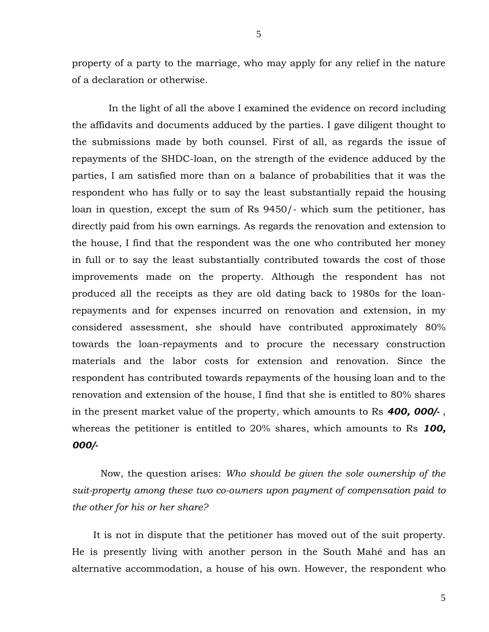property of a party to the marriage, who may apply for any relief in the nature of a declaration or otherwise.

 In the light of all the above I examined the evidence on record including the affidavits and documents adduced by the parties. I gave diligent thought to the submissions made by both counsel. First of all, as regards the issue of repayments of the SHDC-loan, on the strength of the evidence adduced by the parties, I am satisfied more than on a balance of probabilities that it was the respondent who has fully or to say the least substantially repaid the housing loan in question, except the sum of Rs 9450/- which sum the petitioner, has directly paid from his own earnings. As regards the renovation and extension to the house, I find that the respondent was the one who contributed her money in full or to say the least substantially contributed towards the cost of those improvements made on the property. Although the respondent has not produced all the receipts as they are old dating back to 1980s for the loanrepayments and for expenses incurred on renovation and extension, in my considered assessment, she should have contributed approximately 80% towards the loan-repayments and to procure the necessary construction materials and the labor costs for extension and renovation. Since the respondent has contributed towards repayments of the housing loan and to the renovation and extension of the house, I find that she is entitled to 80% shares in the present market value of the property, which amounts to Rs *400, 000/-* , whereas the petitioner is entitled to 20% shares, which amounts to Rs *100, 000/-*

Now, the question arises: *Who should be given the sole ownership of the suit-property among these two co-owners upon payment of compensation paid to the other for his or her share?*

 It is not in dispute that the petitioner has moved out of the suit property. He is presently living with another person in the South Mahé and has an alternative accommodation, a house of his own. However, the respondent who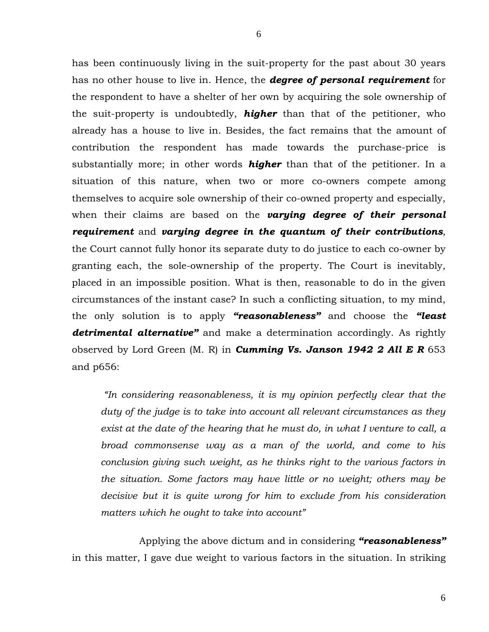has been continuously living in the suit-property for the past about 30 years has no other house to live in. Hence, the *degree of personal requirement* for the respondent to have a shelter of her own by acquiring the sole ownership of the suit-property is undoubtedly, *higher* than that of the petitioner, who already has a house to live in. Besides, the fact remains that the amount of contribution the respondent has made towards the purchase-price is substantially more; in other words *higher* than that of the petitioner. In a situation of this nature, when two or more co-owners compete among themselves to acquire sole ownership of their co-owned property and especially, when their claims are based on the *varying degree of their personal requirement* and *varying degree in the quantum of their contributions*, the Court cannot fully honor its separate duty to do justice to each co-owner by granting each, the sole-ownership of the property. The Court is inevitably, placed in an impossible position. What is then, reasonable to do in the given circumstances of the instant case? In such a conflicting situation, to my mind, the only solution is to apply *"reasonableness"* and choose the *"least detrimental alternative"* and make a determination accordingly. As rightly observed by Lord Green (M. R) in *Cumming Vs. Janson 1942 2 All E R* 653 and p656:

*"In considering reasonableness, it is my opinion perfectly clear that the duty of the judge is to take into account all relevant circumstances as they exist at the date of the hearing that he must do, in what I venture to call, a broad commonsense way as a man of the world, and come to his conclusion giving such weight, as he thinks right to the various factors in the situation. Some factors may have little or no weight; others may be decisive but it is quite wrong for him to exclude from his consideration matters which he ought to take into account"* 

 Applying the above dictum and in considering *"reasonableness"* in this matter, I gave due weight to various factors in the situation. In striking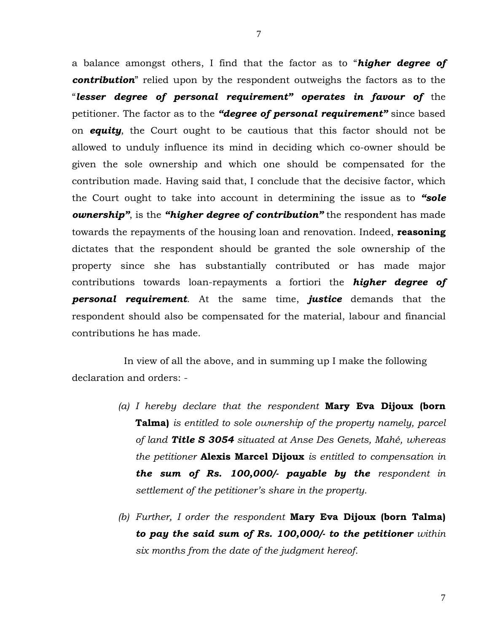a balance amongst others, I find that the factor as to "*higher degree of contribution*" relied upon by the respondent outweighs the factors as to the "*lesser degree of personal requirement" operates in favour of* the petitioner. The factor as to the *"degree of personal requirement"* since based on *equity*, the Court ought to be cautious that this factor should not be allowed to unduly influence its mind in deciding which co-owner should be given the sole ownership and which one should be compensated for the contribution made. Having said that, I conclude that the decisive factor, which the Court ought to take into account in determining the issue as to *"sole ownership"*, is the *"higher degree of contribution"* the respondent has made towards the repayments of the housing loan and renovation. Indeed, **reasoning** dictates that the respondent should be granted the sole ownership of the property since she has substantially contributed or has made major contributions towards loan-repayments a fortiori the *higher degree of personal requirement*. At the same time, *justice* demands that the respondent should also be compensated for the material, labour and financial contributions he has made.

 In view of all the above, and in summing up I make the following declaration and orders: -

- *(a) I hereby declare that the respondent* **Mary Eva Dijoux (born Talma)** *is entitled to sole ownership of the property namely, parcel of land Title S 3054 situated at Anse Des Genets, Mahé, whereas the petitioner* **Alexis Marcel Dijoux** *is entitled to compensation in the sum of Rs. 100,000/- payable by the respondent in settlement of the petitioner's share in the property.*
- *(b) Further, I order the respondent* **Mary Eva Dijoux (born Talma)** *to pay the said sum of Rs. 100,000/- to the petitioner within six months from the date of the judgment hereof.*